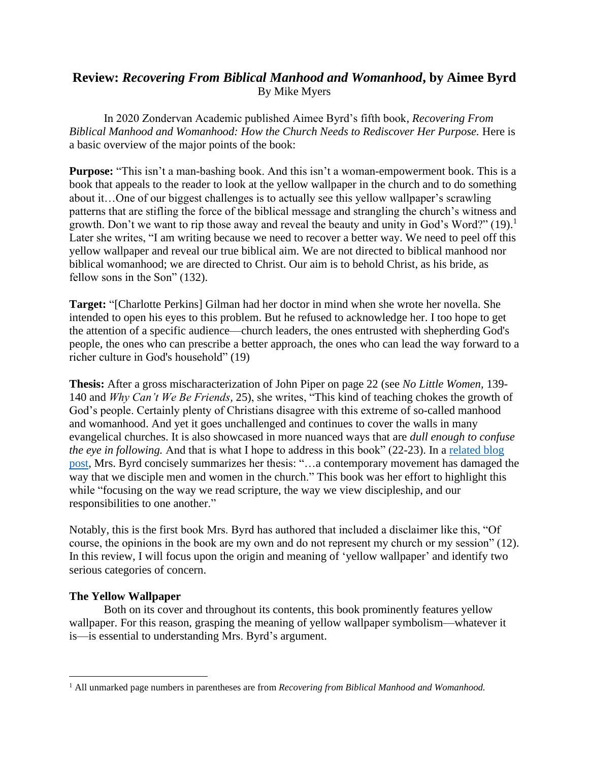# **Review:** *Recovering From Biblical Manhood and Womanhood***, by Aimee Byrd** By Mike Myers

In 2020 Zondervan Academic published Aimee Byrd's fifth book, *Recovering From Biblical Manhood and Womanhood: How the Church Needs to Rediscover Her Purpose.* Here is a basic overview of the major points of the book:

**Purpose:** "This isn't a man-bashing book. And this isn't a woman-empowerment book. This is a book that appeals to the reader to look at the yellow wallpaper in the church and to do something about it…One of our biggest challenges is to actually see this yellow wallpaper's scrawling patterns that are stifling the force of the biblical message and strangling the church's witness and growth. Don't we want to rip those away and reveal the beauty and unity in God's Word?"  $(19)$ .<sup>1</sup> Later she writes, "I am writing because we need to recover a better way. We need to peel off this yellow wallpaper and reveal our true biblical aim. We are not directed to biblical manhood nor biblical womanhood; we are directed to Christ. Our aim is to behold Christ, as his bride, as fellow sons in the Son" (132).

**Target:** "[Charlotte Perkins] Gilman had her doctor in mind when she wrote her novella. She intended to open his eyes to this problem. But he refused to acknowledge her. I too hope to get the attention of a specific audience—church leaders, the ones entrusted with shepherding God's people, the ones who can prescribe a better approach, the ones who can lead the way forward to a richer culture in God's household" (19)

**Thesis:** After a gross mischaracterization of John Piper on page 22 (see *No Little Women,* 139- 140 and *Why Can't We Be Friends,* 25), she writes, "This kind of teaching chokes the growth of God's people. Certainly plenty of Christians disagree with this extreme of so-called manhood and womanhood. And yet it goes unchallenged and continues to cover the walls in many evangelical churches. It is also showcased in more nuanced ways that are *dull enough to confuse the eye in following.* And that is what I hope to address in this book" (22-23). In a [related](https://aimeebyrd.com/2020/06/16/peeling-yellow-wallpaper/) blog [post,](https://aimeebyrd.com/2020/06/16/peeling-yellow-wallpaper/) Mrs. Byrd concisely summarizes her thesis: "…a contemporary movement has damaged the way that we disciple men and women in the church." This book was her effort to highlight this while "focusing on the way we read scripture, the way we view discipleship, and our responsibilities to one another."

Notably, this is the first book Mrs. Byrd has authored that included a disclaimer like this, "Of course, the opinions in the book are my own and do not represent my church or my session" (12). In this review, I will focus upon the origin and meaning of 'yellow wallpaper' and identify two serious categories of concern.

## **The Yellow Wallpaper**

Both on its cover and throughout its contents, this book prominently features yellow wallpaper. For this reason, grasping the meaning of yellow wallpaper symbolism—whatever it is—is essential to understanding Mrs. Byrd's argument.

<sup>1</sup> All unmarked page numbers in parentheses are from *Recovering from Biblical Manhood and Womanhood.*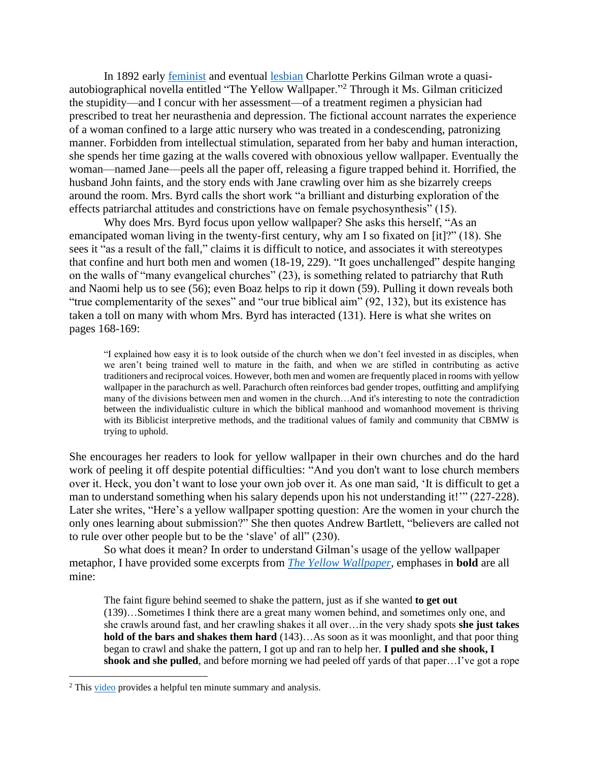In 1892 early [feminist](https://connecticuthistory.org/charlotte-perkins-gilman/) and eventual [lesbian](https://lesbiannews.com/charlotte-perkins-gilman-womens-rights/?fbclid=IwAR2OT0TIwd46f0lErfTrhfWdnmxoTniI3L7grxKh9BLkVSwzoyLVeoGmOI0) Charlotte Perkins Gilman wrote a quasiautobiographical novella entitled "The Yellow Wallpaper."<sup>2</sup> Through it Ms. Gilman criticized the stupidity—and I concur with her assessment—of a treatment regimen a physician had prescribed to treat her neurasthenia and depression. The fictional account narrates the experience of a woman confined to a large attic nursery who was treated in a condescending, patronizing manner. Forbidden from intellectual stimulation, separated from her baby and human interaction, she spends her time gazing at the walls covered with obnoxious yellow wallpaper. Eventually the woman—named Jane—peels all the paper off, releasing a figure trapped behind it. Horrified, the husband John faints, and the story ends with Jane crawling over him as she bizarrely creeps around the room. Mrs. Byrd calls the short work "a brilliant and disturbing exploration of the effects patriarchal attitudes and constrictions have on female psychosynthesis" (15).

Why does Mrs. Byrd focus upon yellow wallpaper? She asks this herself, "As an emancipated woman living in the twenty-first century, why am I so fixated on [it]?" (18). She sees it "as a result of the fall," claims it is difficult to notice, and associates it with stereotypes that confine and hurt both men and women (18-19, 229). "It goes unchallenged" despite hanging on the walls of "many evangelical churches" (23), is something related to patriarchy that Ruth and Naomi help us to see (56); even Boaz helps to rip it down (59). Pulling it down reveals both "true complementarity of the sexes" and "our true biblical aim" (92, 132), but its existence has taken a toll on many with whom Mrs. Byrd has interacted (131). Here is what she writes on pages 168-169:

"I explained how easy it is to look outside of the church when we don't feel invested in as disciples, when we aren't being trained well to mature in the faith, and when we are stifled in contributing as active traditioners and reciprocal voices. However, both men and women are frequently placed in rooms with yellow wallpaper in the parachurch as well. Parachurch often reinforces bad gender tropes, outfitting and amplifying many of the divisions between men and women in the church…And it's interesting to note the contradiction between the individualistic culture in which the biblical manhood and womanhood movement is thriving with its Biblicist interpretive methods, and the traditional values of family and community that CBMW is trying to uphold.

She encourages her readers to look for yellow wallpaper in their own churches and do the hard work of peeling it off despite potential difficulties: "And you don't want to lose church members over it. Heck, you don't want to lose your own job over it. As one man said, 'It is difficult to get a man to understand something when his salary depends upon his not understanding it!'" (227-228). Later she writes, "Here's a yellow wallpaper spotting question: Are the women in your church the only ones learning about submission?" She then quotes Andrew Bartlett, "believers are called not to rule over other people but to be the 'slave' of all" (230).

So what does it mean? In order to understand Gilman's usage of the yellow wallpaper metaphor, I have provided some excerpts from *[The Yellow Wallpaper](https://storyoftheweek.loa.org/2013/05/the-yellow-wall-paper.html)*, emphases in **bold** are all mine:

The faint figure behind seemed to shake the pattern, just as if she wanted **to get out** (139)…Sometimes I think there are a great many women behind, and sometimes only one, and she crawls around fast, and her crawling shakes it all over…in the very shady spots **she just takes hold of the bars and shakes them hard** (143)…As soon as it was moonlight, and that poor thing began to crawl and shake the pattern, I got up and ran to help her. **I pulled and she shook, I shook and she pulled**, and before morning we had peeled off yards of that paper…I've got a rope

 $2$  This [video](https://www.youtube.com/watch?v=gQTp-FS3AHE) provides a helpful ten minute summary and analysis.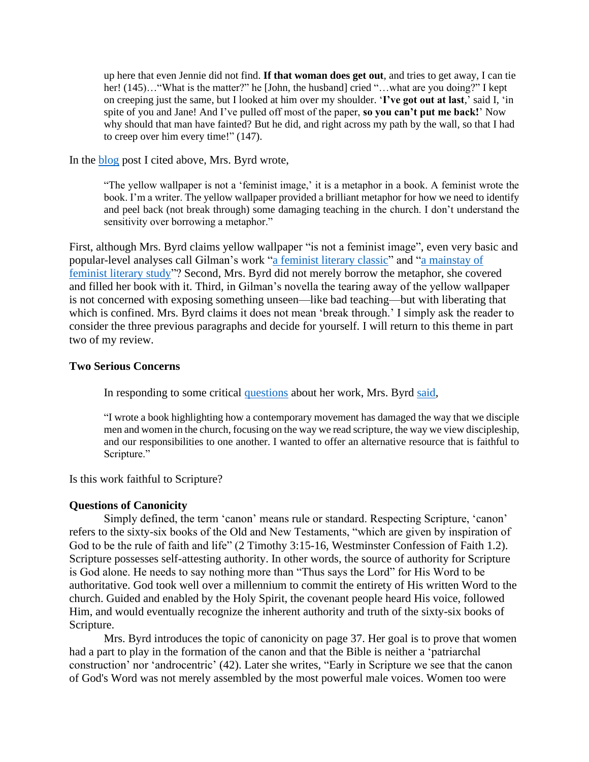up here that even Jennie did not find. **If that woman does get out**, and tries to get away, I can tie her! (145)..."What is the matter?" he [John, the husband] cried "…what are you doing?" I kept on creeping just the same, but I looked at him over my shoulder. '**I've got out at last**,' said I, 'in spite of you and Jane! And I've pulled off most of the paper, **so you can't put me back!**' Now why should that man have fainted? But he did, and right across my path by the wall, so that I had to creep over him every time!" (147).

In the [blog](https://aimeebyrd.com/2020/06/16/peeling-yellow-wallpaper/) post I cited above, Mrs. Byrd wrote,

"The yellow wallpaper is not a 'feminist image,' it is a metaphor in a book. A feminist wrote the book. I'm a writer. The yellow wallpaper provided a brilliant metaphor for how we need to identify and peel back (not break through) some damaging teaching in the church. I don't understand the sensitivity over borrowing a metaphor."

First, although Mrs. Byrd claims yellow wallpaper "is not a feminist image", even very basic and popular-level analyses call Gilman's work ["a feminist literary classic"](https://www.literaryladiesguide.com/literary-analyses/charlotte-perkins-gilman-yellow-wallpaper-1892-analysis/) and ["a mainstay of](https://www.thoughtco.com/analysis-of-the-yellow-wallpaper-2990476)  [feminist literary study"](https://www.thoughtco.com/analysis-of-the-yellow-wallpaper-2990476)? Second, Mrs. Byrd did not merely borrow the metaphor, she covered and filled her book with it. Third, in Gilman's novella the tearing away of the yellow wallpaper is not concerned with exposing something unseen—like bad teaching—but with liberating that which is confined. Mrs. Byrd claims it does not mean 'break through.' I simply ask the reader to consider the three previous paragraphs and decide for yourself. I will return to this theme in part two of my review.

#### **Two Serious Concerns**

In responding to some critical [questions](https://www.reformation21.org/blog/questions-for-aimee) about her work, Mrs. Byrd [said,](https://aimeebyrd.com/2020/06/16/peeling-yellow-wallpaper/)

"I wrote a book highlighting how a contemporary movement has damaged the way that we disciple men and women in the church, focusing on the way we read scripture, the way we view discipleship, and our responsibilities to one another. I wanted to offer an alternative resource that is faithful to Scripture."

Is this work faithful to Scripture?

### **Questions of Canonicity**

Simply defined, the term 'canon' means rule or standard. Respecting Scripture, 'canon' refers to the sixty-six books of the Old and New Testaments, "which are given by inspiration of God to be the rule of faith and life" (2 Timothy 3:15-16, Westminster Confession of Faith 1.2). Scripture possesses self-attesting authority. In other words, the source of authority for Scripture is God alone. He needs to say nothing more than "Thus says the Lord" for His Word to be authoritative. God took well over a millennium to commit the entirety of His written Word to the church. Guided and enabled by the Holy Spirit, the covenant people heard His voice, followed Him, and would eventually recognize the inherent authority and truth of the sixty-six books of Scripture.

Mrs. Byrd introduces the topic of canonicity on page 37. Her goal is to prove that women had a part to play in the formation of the canon and that the Bible is neither a 'patriarchal construction' nor 'androcentric' (42). Later she writes, "Early in Scripture we see that the canon of God's Word was not merely assembled by the most powerful male voices. Women too were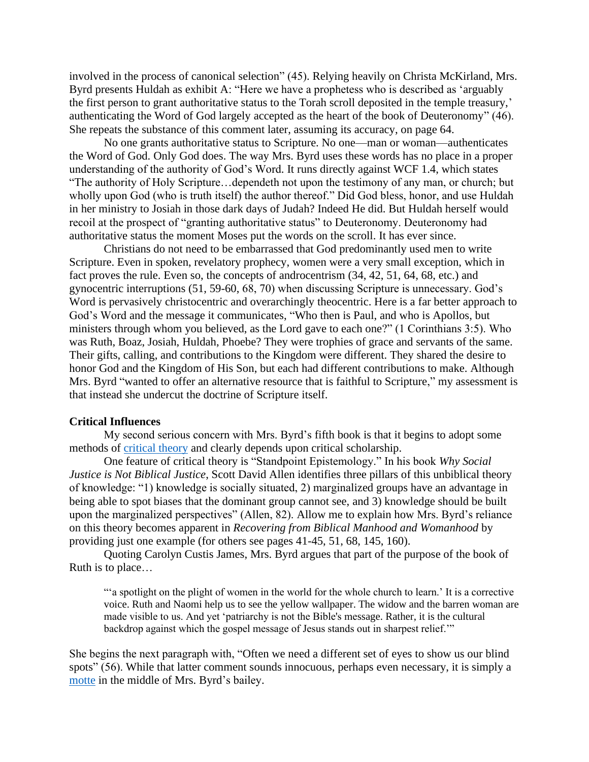involved in the process of canonical selection" (45). Relying heavily on Christa McKirland, Mrs. Byrd presents Huldah as exhibit A: "Here we have a prophetess who is described as 'arguably the first person to grant authoritative status to the Torah scroll deposited in the temple treasury,' authenticating the Word of God largely accepted as the heart of the book of Deuteronomy" (46). She repeats the substance of this comment later, assuming its accuracy, on page 64.

No one grants authoritative status to Scripture. No one—man or woman—authenticates the Word of God. Only God does. The way Mrs. Byrd uses these words has no place in a proper understanding of the authority of God's Word. It runs directly against WCF 1.4, which states "The authority of Holy Scripture…dependeth not upon the testimony of any man, or church; but wholly upon God (who is truth itself) the author thereof." Did God bless, honor, and use Huldah in her ministry to Josiah in those dark days of Judah? Indeed He did. But Huldah herself would recoil at the prospect of "granting authoritative status" to Deuteronomy. Deuteronomy had authoritative status the moment Moses put the words on the scroll. It has ever since.

Christians do not need to be embarrassed that God predominantly used men to write Scripture. Even in spoken, revelatory prophecy, women were a very small exception, which in fact proves the rule. Even so, the concepts of androcentrism  $(34, 42, 51, 64, 68,$  etc.) and gynocentric interruptions (51, 59-60, 68, 70) when discussing Scripture is unnecessary. God's Word is pervasively christocentric and overarchingly theocentric. Here is a far better approach to God's Word and the message it communicates, "Who then is Paul, and who is Apollos, but ministers through whom you believed, as the Lord gave to each one?" (1 Corinthians 3:5). Who was Ruth, Boaz, Josiah, Huldah, Phoebe? They were trophies of grace and servants of the same. Their gifts, calling, and contributions to the Kingdom were different. They shared the desire to honor God and the Kingdom of His Son, but each had different contributions to make. Although Mrs. Byrd "wanted to offer an alternative resource that is faithful to Scripture," my assessment is that instead she undercut the doctrine of Scripture itself.

#### **Critical Influences**

My second serious concern with Mrs. Byrd's fifth book is that it begins to adopt some methods of [critical theory](https://www.sermonaudio.com/search.asp?seriesOnly=true&currSection=sermonstopic&sourceid=heritagerpc&keyword=Christianity+%26+Critical+Theory&keyworddesc=Christianity+%26+Critical+Theory) and clearly depends upon critical scholarship.

One feature of critical theory is "Standpoint Epistemology." In his book *Why Social Justice is Not Biblical Justice*, Scott David Allen identifies three pillars of this unbiblical theory of knowledge: "1) knowledge is socially situated, 2) marginalized groups have an advantage in being able to spot biases that the dominant group cannot see, and 3) knowledge should be built upon the marginalized perspectives" (Allen, 82). Allow me to explain how Mrs. Byrd's reliance on this theory becomes apparent in *Recovering from Biblical Manhood and Womanhood* by providing just one example (for others see pages 41-45, 51, 68, 145, 160).

Quoting Carolyn Custis James, Mrs. Byrd argues that part of the purpose of the book of Ruth is to place…

"'a spotlight on the plight of women in the world for the whole church to learn.' It is a corrective voice. Ruth and Naomi help us to see the yellow wallpaper. The widow and the barren woman are made visible to us. And yet 'patriarchy is not the Bible's message. Rather, it is the cultural backdrop against which the gospel message of Jesus stands out in sharpest relief.'"

She begins the next paragraph with, "Often we need a different set of eyes to show us our blind spots" (56). While that latter comment sounds innocuous, perhaps even necessary, it is simply a [motte](https://www.youtube.com/watch?v=OaTNCkDgPR4) in the middle of Mrs. Byrd's bailey.